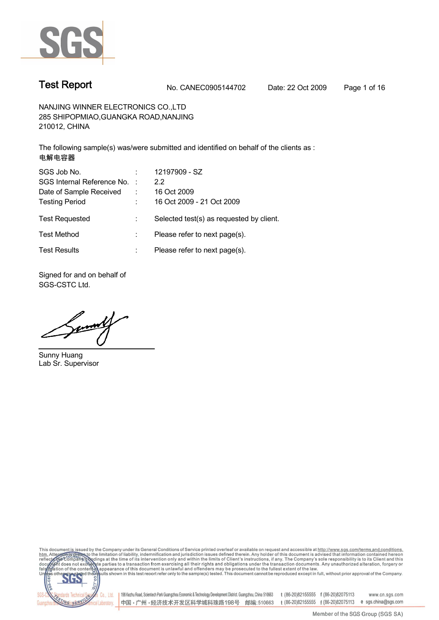

## **Test Report No. CANEC0905144702 Date: 22 Oct 2009 Page 1 of 16**

**NANJING WINNER ELECTRONICS CO.,LTD 285 SHIPOPMIAO,GUANGKA ROAD,NANJING 210012, CHINA**

**The following sample(s) was/were submitted and identified on behalf of the clients as : 电解电容器**

| SGS Job No.<br>SGS Internal Reference No. :<br>Date of Sample Received | ÷ | 12197909 - SZ<br>2.2<br>16 Oct 2009                                   |
|------------------------------------------------------------------------|---|-----------------------------------------------------------------------|
| <b>Testing Period</b><br><b>Test Requested</b>                         | ÷ | 16 Oct 2009 - 21 Oct 2009<br>Selected test(s) as requested by client. |
| <b>Test Method</b>                                                     |   | Please refer to next page(s).                                         |
| <b>Test Results</b>                                                    | ÷ | Please refer to next page(s).                                         |

**Signed for and on behalf of SGS-CSTC Ltd.**

**Sunny Huang Lab Sr. Supervisor**

This document is issued by the Company under its General Conditions of Service printed overleaf or available on request and accessible at http://www.sgs.com/terms.and.conditions.<br>htm. Attention of the limitation of liabili



| 198 Kezhu Road, Scientech Park Guangzhou Economic & Technology Development District. Guangzhou, China 510663 t (86-20)82155555 f (86-20)82075113 www.cn.sgs.com 中国·广州·经济技术开发区科学城科珠路198号 邮编:510663 t (86-20)82155555 f (86-20)82075113 e sgs.china@sgs.com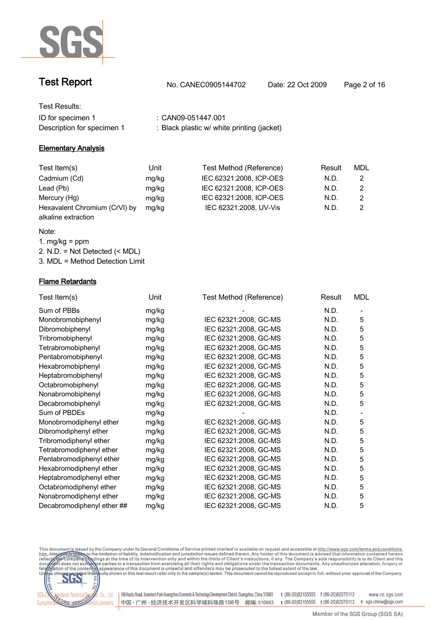

| <b>Test Report</b> | No. CANEC0905144702 | Date: 22 Oct 2009 | Page 2 of 16 |
|--------------------|---------------------|-------------------|--------------|
| Test Results:      |                     |                   |              |
| ID for specimen 1  | CAN09-051447.001    |                   |              |

**Description for specimen 1 : Black plastic w/ white printing (jacket)**

### **Elementary Analysis**

| Test Item(s)                                         | Unit  | Test Method (Reference) | Result | MDL |
|------------------------------------------------------|-------|-------------------------|--------|-----|
| Cadmium (Cd)                                         | mg/kg | IEC 62321:2008, ICP-OES | N.D.   |     |
| Lead (Pb)                                            | mg/kg | IEC 62321:2008, ICP-OES | N.D.   |     |
| Mercury (Hg)                                         | mg/kg | IEC 62321:2008, ICP-OES | N.D.   |     |
| Hexavalent Chromium (CrVI) by<br>alkaline extraction | mg/kg | IEC 62321:2008, UV-Vis  | N.D.   |     |

### **Note:**

**1. mg/kg = ppm 2. N.D. = Not Detected (< MDL) 3. MDL = Method Detection Limit**

### **Flame Retardants**

| Test Item(s)               | Unit  | Test Method (Reference) | Result | <b>MDL</b> |
|----------------------------|-------|-------------------------|--------|------------|
| Sum of PBBs                | mg/kg |                         | N.D.   |            |
| Monobromobiphenyl          | mg/kg | IEC 62321:2008, GC-MS   | N.D.   | 5          |
| Dibromobiphenyl            | mg/kg | IEC 62321:2008, GC-MS   | N.D.   | 5          |
| Tribromobiphenyl           | mg/kg | IEC 62321:2008, GC-MS   | N.D.   | 5          |
| Tetrabromobiphenyl         | mg/kg | IEC 62321:2008, GC-MS   | N.D.   | 5          |
| Pentabromobiphenyl         | mg/kg | IEC 62321:2008, GC-MS   | N.D.   | 5          |
| Hexabromobiphenyl          | mg/kg | IEC 62321:2008, GC-MS   | N.D.   | 5          |
| Heptabromobiphenyl         | mg/kg | IEC 62321:2008, GC-MS   | N.D.   | 5          |
| Octabromobiphenyl          | mg/kg | IEC 62321:2008, GC-MS   | N.D.   | 5          |
| Nonabromobiphenyl          | mg/kg | IEC 62321:2008, GC-MS   | N.D.   | 5          |
| Decabromobiphenyl          | mg/kg | IEC 62321:2008, GC-MS   | N.D.   | 5          |
| Sum of PBDEs               | mg/kg |                         | N.D.   |            |
| Monobromodiphenyl ether    | mg/kg | IEC 62321:2008, GC-MS   | N.D.   | 5          |
| Dibromodiphenyl ether      | mg/kg | IEC 62321:2008, GC-MS   | N.D.   | 5          |
| Tribromodiphenyl ether     | mg/kg | IEC 62321:2008, GC-MS   | N.D.   | 5          |
| Tetrabromodiphenyl ether   | mg/kg | IEC 62321:2008, GC-MS   | N.D.   | 5          |
| Pentabromodiphenyl ether   | mg/kg | IEC 62321:2008, GC-MS   | N.D.   | 5          |
| Hexabromodiphenyl ether    | mg/kg | IEC 62321:2008, GC-MS   | N.D.   | 5          |
| Heptabromodiphenyl ether   | mg/kg | IEC 62321:2008, GC-MS   | N.D.   | 5          |
| Octabromodiphenyl ether    | mg/kg | IEC 62321:2008, GC-MS   | N.D.   | 5          |
| Nonabromodiphenyl ether    | mg/kg | IEC 62321:2008, GC-MS   | N.D.   | 5          |
| Decabromodiphenyl ether ## | mg/kg | IEC 62321:2008, GC-MS   | N.D.   | 5          |
|                            |       |                         |        |            |

This document is issued by the Company under its General Conditions of Service printed overleaf or available on request and accessible at http://www.ggs.com/terms.and.conditions.<br>htm. Attention of limitation of liability,



198 Kezhu Road, Scientech Park Guangzhou Economic & Technology Development District. Guangzhou, China 510663 t (86-20)82155555 f (86-20)82075113 中国·广州·经济技术开发区科学城科珠路198号 邮编:510663 t (86-20)82155555 f (86-20)82075113 e sgs.china@sgs.com

www.cn.sgs.com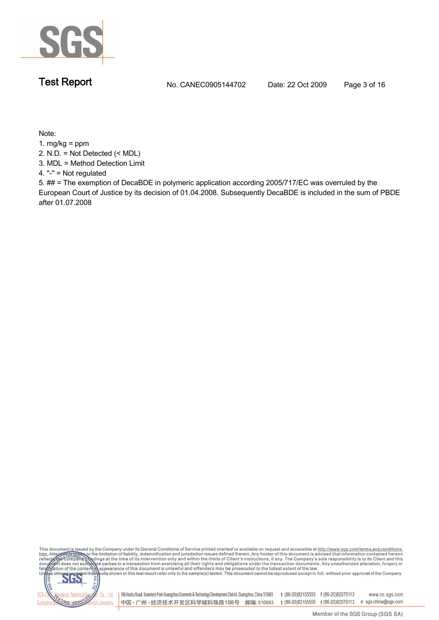

**Test Report No. CANEC0905144702 Date: 22 Oct 2009 Page 3 of 16**

**Note:**

**1. mg/kg = ppm**

**2. N.D. = Not Detected (< MDL)**

**3. MDL = Method Detection Limit**

**4. "-" = Not regulated**

**5. ## = The exemption of DecaBDE in polymeric application according 2005/717/EC was overruled by the European Court of Justice by its decision of 01.04.2008. Subsequently DecaBDE is included in the sum of PBDE after 01.07.2008**

This document is issued by the Company under its General Conditions of Service printed overleaf or available on request and accessible at http://www.sgs.com/terms.and.conditions.<br>
htm. Attention of the limitation of liabil

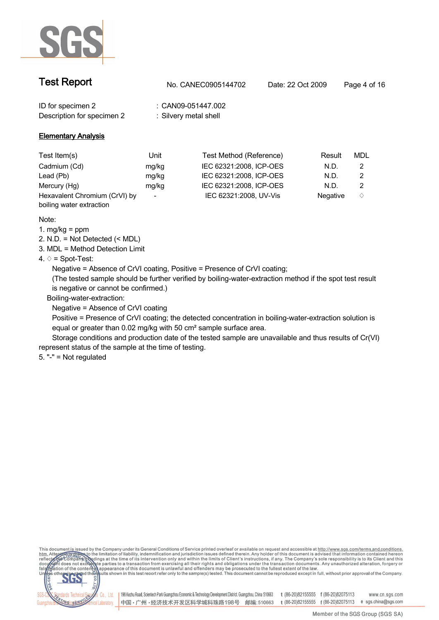

| <b>Test Report</b>         | No. CANEC0905144702   | Date: 22 Oct 2009 | Page 4 of 16 |  |
|----------------------------|-----------------------|-------------------|--------------|--|
| ID for specimen 2          | CAN09-051447.002      |                   |              |  |
| Description for specimen 2 | : Silvery metal shell |                   |              |  |

### **Elementary Analysis**

| Test Item(s)                  | Unit                     | Test Method (Reference) | Result          | MDL |  |
|-------------------------------|--------------------------|-------------------------|-----------------|-----|--|
| Cadmium (Cd)                  | mg/kg                    | IEC 62321:2008, ICP-OES | N.D.            |     |  |
| Lead (Pb)                     | mg/kg                    | IEC 62321:2008, ICP-OES | N.D.            |     |  |
| Mercury (Hg)                  | mg/kg                    | IEC 62321:2008, ICP-OES | N.D.            |     |  |
| Hexavalent Chromium (CrVI) by | $\overline{\phantom{a}}$ | IEC 62321:2008, UV-Vis  | <b>Negative</b> |     |  |
| boiling water extraction      |                          |                         |                 |     |  |

**Note:**

**1. mg/kg = ppm**

**2. N.D. = Not Detected (< MDL)**

**3. MDL = Method Detection Limit**

**4. ♢ = Spot-Test:**

**Negative = Absence of CrVI coating, Positive = Presence of CrVI coating;** 

**(The tested sample should be further verified by boiling-water-extraction method if the spot test result is negative or cannot be confirmed.)**

 **Boiling-water-extraction:**

**Negative = Absence of CrVI coating**

**Positive = Presence of CrVI coating; the detected concentration in boiling-water-extraction solution is equal or greater than 0.02 mg/kg with 50 cm² sample surface area.**

**Storage conditions and production date of the tested sample are unavailable and thus results of Cr(VI) represent status of the sample at the time of testing.**

**5. "-" = Not regulated**

This document is issued by the Company under its General Conditions of Service printed overleaf or available on request and accessible at http://www.sgs.com/terms.and.conditions.<br>htm. Attention of the limitation of liabili

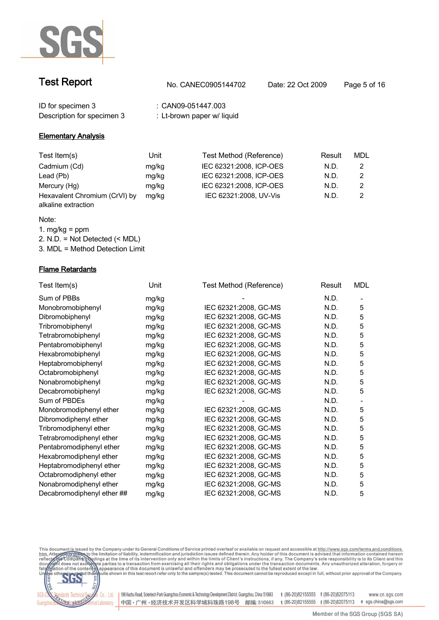

| <b>Test Report</b> | No. CANEC0905144702 | Date: 22 Oct 2009 | Page 5 of 16 |
|--------------------|---------------------|-------------------|--------------|
| ID for specimen 3  | CAN09-051447.003    |                   |              |

| Description for specimen 3 |  |  |
|----------------------------|--|--|
|                            |  |  |

# **Description for specimen 3 : Lt-brown paper w/ liquid**

### **Elementary Analysis**

| Test Item(s)                                         | Unit  | Test Method (Reference) | Result | MDL |
|------------------------------------------------------|-------|-------------------------|--------|-----|
| Cadmium (Cd)                                         | mg/kg | IEC 62321:2008, ICP-OES | N.D.   |     |
| Lead (Pb)                                            | mg/kg | IEC 62321:2008, ICP-OES | N.D.   |     |
| Mercury (Hg)                                         | mg/kg | IEC 62321:2008, ICP-OES | N.D.   |     |
| Hexavalent Chromium (CrVI) by<br>alkaline extraction | mg/kg | IEC 62321:2008, UV-Vis  | N.D.   |     |

### **Note:**

**1. mg/kg = ppm**

**2. N.D. = Not Detected (< MDL)**

**3. MDL = Method Detection Limit**

### **Flame Retardants**

| Test Item(s)               | Unit  | Test Method (Reference) | Result | <b>MDL</b>                   |
|----------------------------|-------|-------------------------|--------|------------------------------|
| Sum of PBBs                | mg/kg |                         | N.D.   | $\qquad \qquad \blacksquare$ |
| Monobromobiphenyl          | mg/kg | IEC 62321:2008, GC-MS   | N.D.   | 5                            |
| Dibromobiphenyl            | mg/kg | IEC 62321:2008, GC-MS   | N.D.   | 5                            |
| Tribromobiphenyl           | mg/kg | IEC 62321:2008, GC-MS   | N.D.   | 5                            |
| Tetrabromobiphenyl         | mg/kg | IEC 62321:2008, GC-MS   | N.D.   | 5                            |
| Pentabromobiphenyl         | mg/kg | IEC 62321:2008, GC-MS   | N.D.   | 5                            |
| Hexabromobiphenyl          | mg/kg | IEC 62321:2008, GC-MS   | N.D.   | 5                            |
| Heptabromobiphenyl         | mg/kg | IEC 62321:2008, GC-MS   | N.D.   | 5                            |
| Octabromobiphenyl          | mg/kg | IEC 62321:2008, GC-MS   | N.D.   | 5                            |
| Nonabromobiphenyl          | mg/kg | IEC 62321:2008, GC-MS   | N.D.   | 5                            |
| Decabromobiphenyl          | mg/kg | IEC 62321:2008, GC-MS   | N.D.   | 5                            |
| Sum of PBDEs               | mg/kg |                         | N.D.   |                              |
| Monobromodiphenyl ether    | mg/kg | IEC 62321:2008, GC-MS   | N.D.   | 5                            |
| Dibromodiphenyl ether      | mg/kg | IEC 62321:2008, GC-MS   | N.D.   | 5                            |
| Tribromodiphenyl ether     | mg/kg | IEC 62321:2008, GC-MS   | N.D.   | 5                            |
| Tetrabromodiphenyl ether   | mg/kg | IEC 62321:2008, GC-MS   | N.D.   | 5                            |
| Pentabromodiphenyl ether   | mg/kg | IEC 62321:2008, GC-MS   | N.D.   | 5                            |
| Hexabromodiphenyl ether    | mg/kg | IEC 62321:2008, GC-MS   | N.D.   | 5                            |
| Heptabromodiphenyl ether   | mg/kg | IEC 62321:2008, GC-MS   | N.D.   | 5                            |
| Octabromodiphenyl ether    | mg/kg | IEC 62321:2008, GC-MS   | N.D.   | 5                            |
| Nonabromodiphenyl ether    | mg/kg | IEC 62321:2008, GC-MS   | N.D.   | 5                            |
| Decabromodiphenyl ether ## | mg/kg | IEC 62321:2008, GC-MS   | N.D.   | 5                            |

This document is issued by the Company under its General Conditions of Service printed overleaf or available on request and accessible at http://www.ggs.com/terms.and.conditions.<br>htm. Attention of limitation of liability,



198 Kezhu Road, Scientech Park Guangzhou Economic & Technology Development District. Guangzhou, China 510663 t (86-20)82155555 f (86-20)82075113 www.cn.sgs.com 中国·广州·经济技术开发区科学城科珠路198号 邮编:510663 t (86-20)82155555 f (86-20)82075113 e sgs.china@sgs.com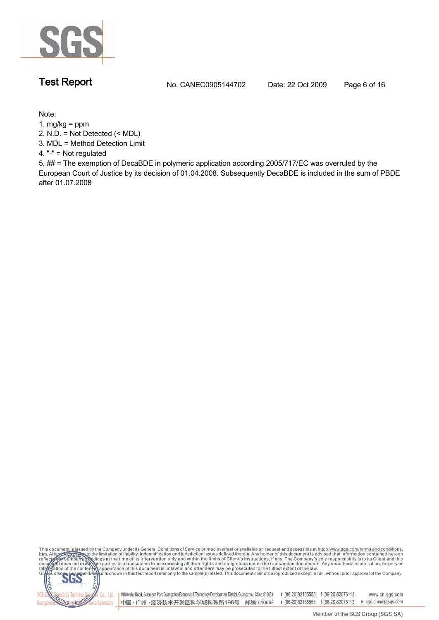

**Test Report No. CANEC0905144702 Date: 22 Oct 2009 Page 6 of 16**

**Note:**

**1. mg/kg = ppm**

**2. N.D. = Not Detected (< MDL)**

**3. MDL = Method Detection Limit**

**4. "-" = Not regulated**

**5. ## = The exemption of DecaBDE in polymeric application according 2005/717/EC was overruled by the European Court of Justice by its decision of 01.04.2008. Subsequently DecaBDE is included in the sum of PBDE after 01.07.2008**

This document is issued by the Company under its General Conditions of Service printed overleaf or available on request and accessible at http://www.sgs.com/terms.and.conditions.<br>htm. Attention of the limitation of liabili

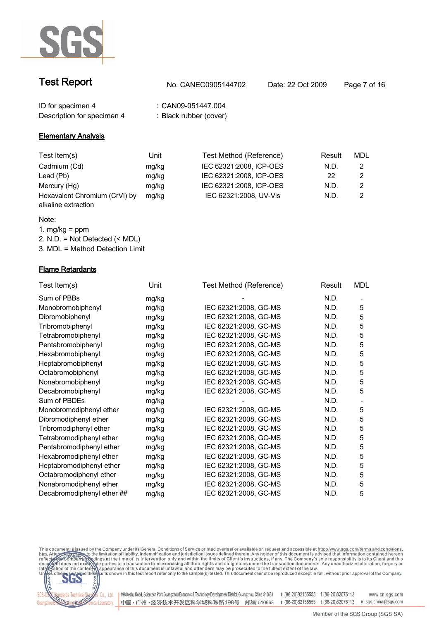

| <b>Test Report</b> | No. CANEC0905144702 | Date: 22 Oct 2009 | Page 7 of 16 |
|--------------------|---------------------|-------------------|--------------|
| ID for specimen 4  | : CAN09-051447.004  |                   |              |

**Description for specimen 4 : Black rubber (cover)**

### **Elementary Analysis**

| Test Item(s)                                         | Unit  | Test Method (Reference) | Result | MDL |
|------------------------------------------------------|-------|-------------------------|--------|-----|
| Cadmium (Cd)                                         | mg/kg | IEC 62321:2008, ICP-OES | N.D.   |     |
| Lead (Pb)                                            | mg/kg | IEC 62321:2008, ICP-OES | 22     |     |
| Mercury (Hg)                                         | mg/kg | IEC 62321:2008, ICP-OES | N.D.   |     |
| Hexavalent Chromium (CrVI) by<br>alkaline extraction | mg/kg | IEC 62321:2008, UV-Vis  | N.D.   |     |

### **Note:**

**1. mg/kg = ppm**

**2. N.D. = Not Detected (< MDL)**

**3. MDL = Method Detection Limit**

### **Flame Retardants**

| Test Item(s)               | Unit  | Test Method (Reference) | Result | <b>MDL</b> |
|----------------------------|-------|-------------------------|--------|------------|
| Sum of PBBs                | mg/kg |                         | N.D.   |            |
| Monobromobiphenyl          | mg/kg | IEC 62321:2008, GC-MS   | N.D.   | 5          |
| Dibromobiphenyl            | mg/kg | IEC 62321:2008, GC-MS   | N.D.   | 5          |
| Tribromobiphenyl           | mg/kg | IEC 62321:2008, GC-MS   | N.D.   | 5          |
| Tetrabromobiphenyl         | mg/kg | IEC 62321:2008, GC-MS   | N.D.   | 5          |
| Pentabromobiphenyl         | mg/kg | IEC 62321:2008, GC-MS   | N.D.   | 5          |
| Hexabromobiphenyl          | mg/kg | IEC 62321:2008, GC-MS   | N.D.   | 5          |
| Heptabromobiphenyl         | mg/kg | IEC 62321:2008, GC-MS   | N.D.   | 5          |
| Octabromobiphenyl          | mg/kg | IEC 62321:2008, GC-MS   | N.D.   | 5          |
| Nonabromobiphenyl          | mg/kg | IEC 62321:2008, GC-MS   | N.D.   | 5          |
| Decabromobiphenyl          | mg/kg | IEC 62321:2008, GC-MS   | N.D.   | 5          |
| Sum of PBDEs               | mg/kg |                         | N.D.   |            |
| Monobromodiphenyl ether    | mg/kg | IEC 62321:2008, GC-MS   | N.D.   | 5          |
| Dibromodiphenyl ether      | mg/kg | IEC 62321:2008, GC-MS   | N.D.   | 5          |
| Tribromodiphenyl ether     | mg/kg | IEC 62321:2008, GC-MS   | N.D.   | 5          |
| Tetrabromodiphenyl ether   | mg/kg | IEC 62321:2008, GC-MS   | N.D.   | 5          |
| Pentabromodiphenyl ether   | mg/kg | IEC 62321:2008, GC-MS   | N.D.   | 5          |
| Hexabromodiphenyl ether    | mg/kg | IEC 62321:2008, GC-MS   | N.D.   | 5          |
| Heptabromodiphenyl ether   | mg/kg | IEC 62321:2008, GC-MS   | N.D.   | 5          |
| Octabromodiphenyl ether    | mg/kg | IEC 62321:2008, GC-MS   | N.D.   | 5          |
| Nonabromodiphenyl ether    | mg/kg | IEC 62321:2008, GC-MS   | N.D.   | 5          |
| Decabromodiphenyl ether ## | mg/kg | IEC 62321:2008, GC-MS   | N.D.   | 5          |

This document is issued by the Company under its General Conditions of Service printed overleaf or available on request and accessible at http://www.ggs.com/terms.and.conditions.<br>htm. Attention of limitation of liability,



198 Kezhu Road, Scientech Park Guangzhou Economic & Technology Development District. Guangzhou, China 510663 t (86-20)82155555 f (86-20)82075113 www.cn.sgs.com 中国 • 广州 • 经济技术开发区科学城科珠路198号 邮编: 510663 t (86-20)82155555 f (86-20)82075113 e sgs.china@sgs.com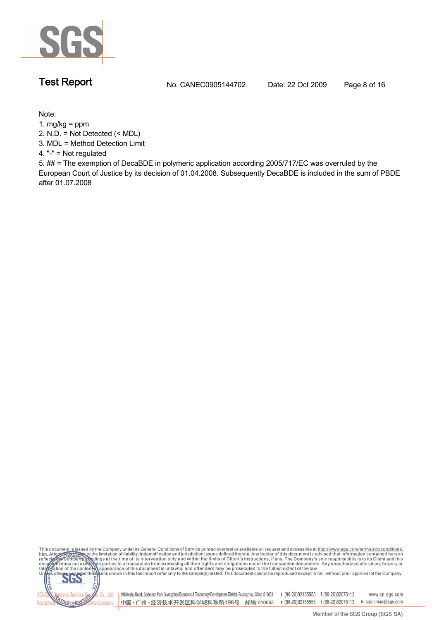

**Test Report No. CANEC0905144702 Date: 22 Oct 2009 Page 8 of 16**

**Note:**

**1. mg/kg = ppm**

**2. N.D. = Not Detected (< MDL)**

**3. MDL = Method Detection Limit**

**4. "-" = Not regulated**

**5. ## = The exemption of DecaBDE in polymeric application according 2005/717/EC was overruled by the European Court of Justice by its decision of 01.04.2008. Subsequently DecaBDE is included in the sum of PBDE after 01.07.2008**

This document is issued by the Company under its General Conditions of Service printed overleaf or available on request and accessible at http://www.sgs.com/terms.and.conditions.<br>htm. Attention of the limitation of liabili

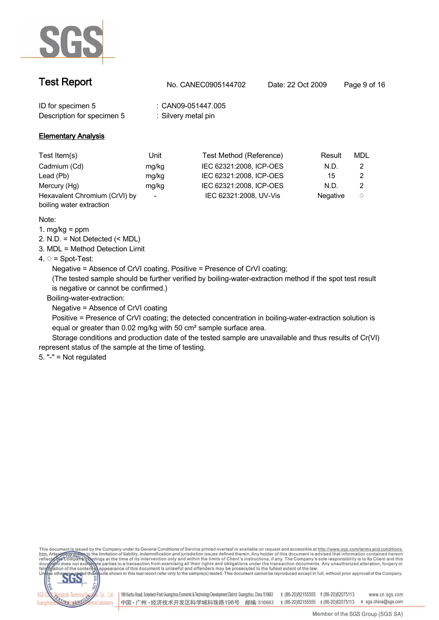

| <b>Test Report</b>                              | No. CANEC0905144702                   | Date: 22 Oct 2009 | Page 9 of 16 |
|-------------------------------------------------|---------------------------------------|-------------------|--------------|
| ID for specimen 5<br>Description for specimen 5 | CAN09-051447.005<br>Silvery metal pin |                   |              |

### **Elementary Analysis**

| Test Item(s)                  | Unit  | Test Method (Reference) | Result          | MDL |  |
|-------------------------------|-------|-------------------------|-----------------|-----|--|
| Cadmium (Cd)                  | mg/kg | IEC 62321:2008, ICP-OES | N.D.            |     |  |
| Lead (Pb)                     | mg/kg | IEC 62321:2008, ICP-OES | 15              |     |  |
| Mercury (Hg)                  | mg/kg | IEC 62321:2008, ICP-OES | N.D.            |     |  |
| Hexavalent Chromium (CrVI) by |       | IEC 62321:2008, UV-Vis  | <b>Negative</b> |     |  |
| boiling water extraction      |       |                         |                 |     |  |

**Note:**

**1. mg/kg = ppm**

**2. N.D. = Not Detected (< MDL)**

**3. MDL = Method Detection Limit**

**4. ♢ = Spot-Test:**

**Negative = Absence of CrVI coating, Positive = Presence of CrVI coating;** 

**(The tested sample should be further verified by boiling-water-extraction method if the spot test result is negative or cannot be confirmed.)**

 **Boiling-water-extraction:**

**Negative = Absence of CrVI coating**

**Positive = Presence of CrVI coating; the detected concentration in boiling-water-extraction solution is equal or greater than 0.02 mg/kg with 50 cm² sample surface area.**

**Storage conditions and production date of the tested sample are unavailable and thus results of Cr(VI) represent status of the sample at the time of testing.**

**5. "-" = Not regulated**

This document is issued by the Company under its General Conditions of Service printed overleaf or available on request and accessible at http://www.sgs.com/terms.and.conditions.<br>htm. Attention of the limitation of liabili

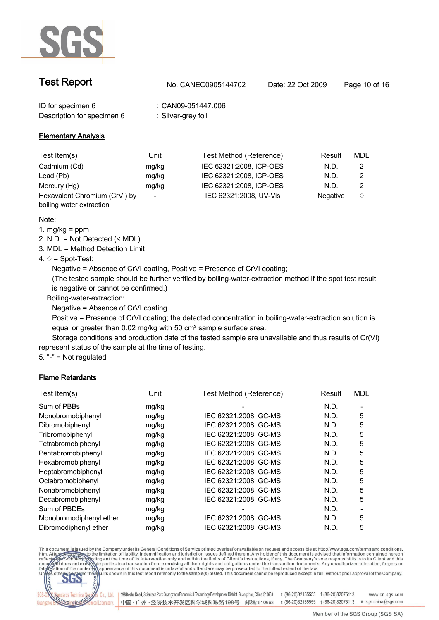

| <b>Test Report</b> | No. CANEC0905144702 | Date: 22 Oct 2009 | Page 10 of 16 |
|--------------------|---------------------|-------------------|---------------|
| ID for specimen 6  | : CAN09-051447.006  |                   |               |

**Description for specimen 6 : Silver-grey foil**

### **Elementary Analysis**

| Test Item(s)                  | Unit                     | Test Method (Reference) | Result          | MDL |  |
|-------------------------------|--------------------------|-------------------------|-----------------|-----|--|
| Cadmium (Cd)                  | mg/kg                    | IEC 62321:2008, ICP-OES | N.D.            |     |  |
| Lead (Pb)                     | mg/kg                    | IEC 62321:2008, ICP-OES | N.D.            |     |  |
| Mercury (Hg)                  | mg/kg                    | IEC 62321:2008, ICP-OES | N.D.            |     |  |
| Hexavalent Chromium (CrVI) by | $\overline{\phantom{a}}$ | IEC 62321:2008, UV-Vis  | <b>Negative</b> |     |  |
| boiling water extraction      |                          |                         |                 |     |  |

**Note:**

**1. mg/kg = ppm**

**2. N.D. = Not Detected (< MDL)**

**3. MDL = Method Detection Limit**

### **4. ♢ = Spot-Test:**

**Negative = Absence of CrVI coating, Positive = Presence of CrVI coating;** 

**(The tested sample should be further verified by boiling-water-extraction method if the spot test result is negative or cannot be confirmed.)**

 **Boiling-water-extraction:**

**Negative = Absence of CrVI coating**

**Positive = Presence of CrVI coating; the detected concentration in boiling-water-extraction solution is equal or greater than 0.02 mg/kg with 50 cm² sample surface area.**

**Storage conditions and production date of the tested sample are unavailable and thus results of Cr(VI) represent status of the sample at the time of testing.**

**5. "-" = Not regulated**

### **Flame Retardants**

| Test Item(s)            | Unit  | Test Method (Reference) | Result | <b>MDL</b> |
|-------------------------|-------|-------------------------|--------|------------|
| Sum of PBBs             | mg/kg |                         | N.D.   |            |
| Monobromobiphenyl       | mg/kg | IEC 62321:2008, GC-MS   | N.D.   | 5          |
| Dibromobiphenyl         | mg/kg | IEC 62321:2008, GC-MS   | N.D.   | 5          |
| Tribromobiphenyl        | mg/kg | IEC 62321:2008, GC-MS   | N.D.   | 5          |
| Tetrabromobiphenyl      | mg/kg | IEC 62321:2008, GC-MS   | N.D.   | 5          |
| Pentabromobiphenyl      | mg/kg | IEC 62321:2008, GC-MS   | N.D.   | 5          |
| Hexabromobiphenyl       | mg/kg | IEC 62321:2008. GC-MS   | N.D.   | 5          |
| Heptabromobiphenyl      | mg/kg | IEC 62321:2008, GC-MS   | N.D.   | 5          |
| Octabromobiphenyl       | mg/kg | IEC 62321:2008, GC-MS   | N.D.   | 5          |
| Nonabromobiphenyl       | mg/kg | IEC 62321:2008. GC-MS   | N.D.   | 5          |
| Decabromobiphenyl       | mg/kg | IEC 62321:2008, GC-MS   | N.D.   | 5          |
| Sum of PBDEs            | mg/kg |                         | N.D.   |            |
| Monobromodiphenyl ether | mg/kg | IEC 62321:2008, GC-MS   | N.D.   | 5          |
| Dibromodiphenyl ether   | mg/kg | IEC 62321:2008. GC-MS   | N.D.   | 5          |

This document is issued by the Company under its General Conditions of Service printed overleaf or available on request and accessible at http://www.sgs.com/terms.and.conditions.<br>htm. Attention of the limitation of liabili



198 Kezhu Road, Scientech Park Guangzhou Economic & Technology Development District. Guangzhou, China 510663 t (86-20)82155555 f (86-20)82075113 中国·广州·经济技术开发区科学城科珠路198号 邮编:510663 t (86-20)82155555 f (86-20)82075113 e sgs.china@sgs.com

www.cn.sgs.com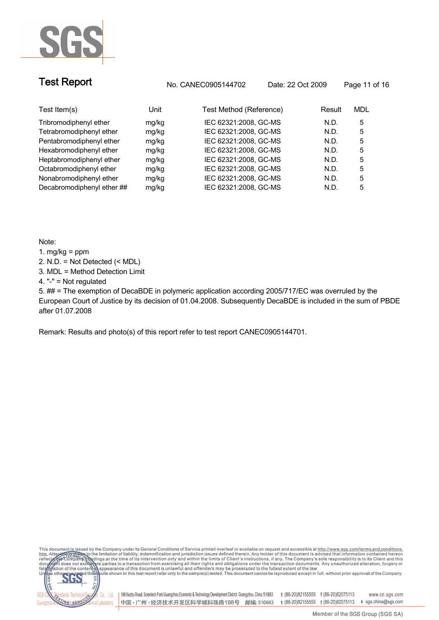

**Test Report No. CANEC0905144702 Date: 22 Oct 2009 Page 11 of 16**

| Test Item(s)               | Unit  | Test Method (Reference) | Result | MDL |
|----------------------------|-------|-------------------------|--------|-----|
|                            |       |                         |        |     |
| Tribromodiphenyl ether     | mg/kg | IEC 62321:2008, GC-MS   | N.D.   | 5   |
| Tetrabromodiphenyl ether   | mg/kg | IEC 62321:2008, GC-MS   | N.D.   | 5   |
| Pentabromodiphenyl ether   | mg/kg | IEC 62321:2008, GC-MS   | N.D.   | 5   |
| Hexabromodiphenyl ether    | mg/kg | IEC 62321:2008, GC-MS   | N.D.   | 5   |
| Heptabromodiphenyl ether   | mg/kg | IEC 62321:2008, GC-MS   | N.D.   | 5   |
| Octabromodiphenyl ether    | mg/kg | IEC 62321:2008, GC-MS   | N.D.   | 5   |
| Nonabromodiphenyl ether    | mg/kg | IEC 62321:2008, GC-MS   | N.D.   | 5   |
| Decabromodiphenyl ether ## | mg/kg | IEC 62321:2008, GC-MS   | N.D.   | 5   |
|                            |       |                         |        |     |

**Note:**

- **1. mg/kg = ppm**
- **2. N.D. = Not Detected (< MDL)**
- **3. MDL = Method Detection Limit**
- **4. "-" = Not regulated**

**5. ## = The exemption of DecaBDE in polymeric application according 2005/717/EC was overruled by the European Court of Justice by its decision of 01.04.2008. Subsequently DecaBDE is included in the sum of PBDE after 01.07.2008**

**Remark: Results and photo(s) of this report refer to test report CANEC0905144701.**

This document is issued by the Company under its General Conditions of Service printed overleaf or available on request and accessible at http://www.sgs.com/terms.and.conditions.<br>htm. Attention of the limitation of liabili

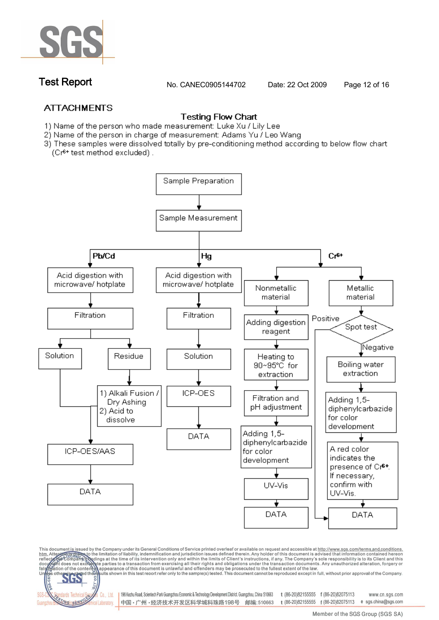

**Test Report No. CANEC0905144702 Date: 22 Oct 2009 Page 12 of 16**

### **ATTACHMENTS**

### **Testing Flow Chart**

- 1) Name of the person who made measurement: Luke Xu / Lily Lee
- 2) Name of the person in charge of measurement: Adams Yu / Leo Wang
- 3) These samples were dissolved totally by pre-conditioning method according to below flow chart (Cr<sup>6+</sup> test method excluded).



This document is issued by the Company under its General Conditions of Service printed overleaf or available on request and accessible at http://www.sgs.com/terms.and.conditions.<br>htm. Attention of the limitation of liabili



Co., Ltd. | 198 Kezhu Road, Scientech Park Guangzhou Economic & Technology Development District. Guangzhou, China 510663 t (86-20)82155555 f (86-20)82075113 www.cn.sgs.com 中国·广州·经济技术开发区科学城科珠路198号 邮编:510663 t (86-20)82155555 f (86-20)82075113 e sgs.china@sgs.com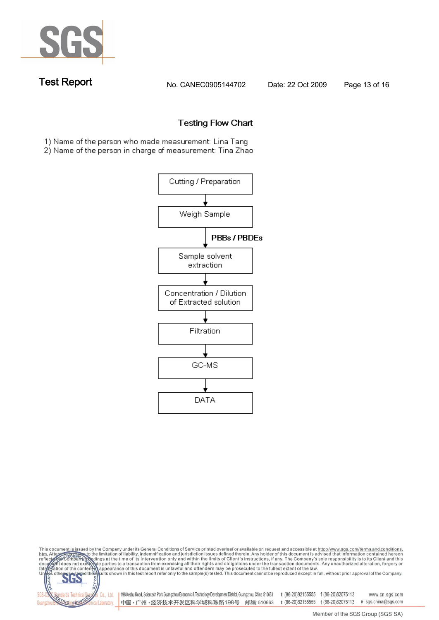

**Test Report No. CANEC0905144702 Date: 22 Oct 2009 Page 13 of 16**

### **Testing Flow Chart**

1) Name of the person who made measurement: Lina Tang

2) Name of the person in charge of measurement: Tina Zhao



This document is issued by the Company under its General Conditions of Service printed overleaf or available on request and accessible at http://www.sgs.com/terms.and.conditions.<br>htm. Attention of the limitation of liabili

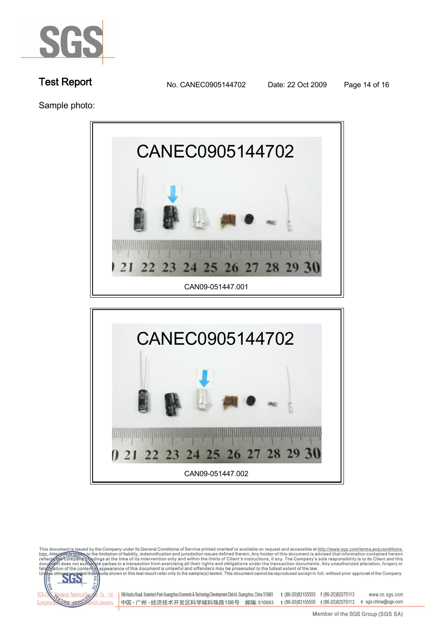

**Test Report No. CANEC0905144702 Date: 22 Oct 2009 Page 14 of 16**

**Sample photo:**





This document is issued by the Company under its General Conditions of Service printed overleaf or available on request and accessible at http://www.sgs.com/terms.and.conditions.<br>htm. Attendent is issued by the Umitation o ults shown in this test report refer only to the sample(s) tested. This document cannot be reproduced except in full, without prior approval of the Company. 198 Kezhu Road, Scientech Park Guangzhou Economic & Technology Development District. Guangzhou, China 510663 t (86-20)82155555 f (86-20)82075113 www.cn.sgs.com Co., Ltd.

中国·广州·经济技术开发区科学城科珠路198号 邮编:510663

cal Laboratory.

t (86-20)82155555 f (86-20)82075113 e sgs.china@sgs.com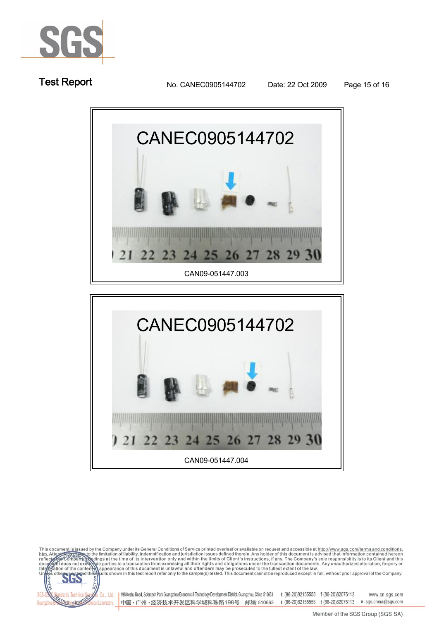

**Test Report No. CANEC0905144702 Date: 22 Oct 2009 Page 15 of 16**





This document is issued by the Company under its General Conditions of Service printed overleaf or available on request and accessible at http://www.sgs.com/terms.and.conditions.<br>htm. Attention of the limitation of liabili

Co., Ltd.

cal Laboratory